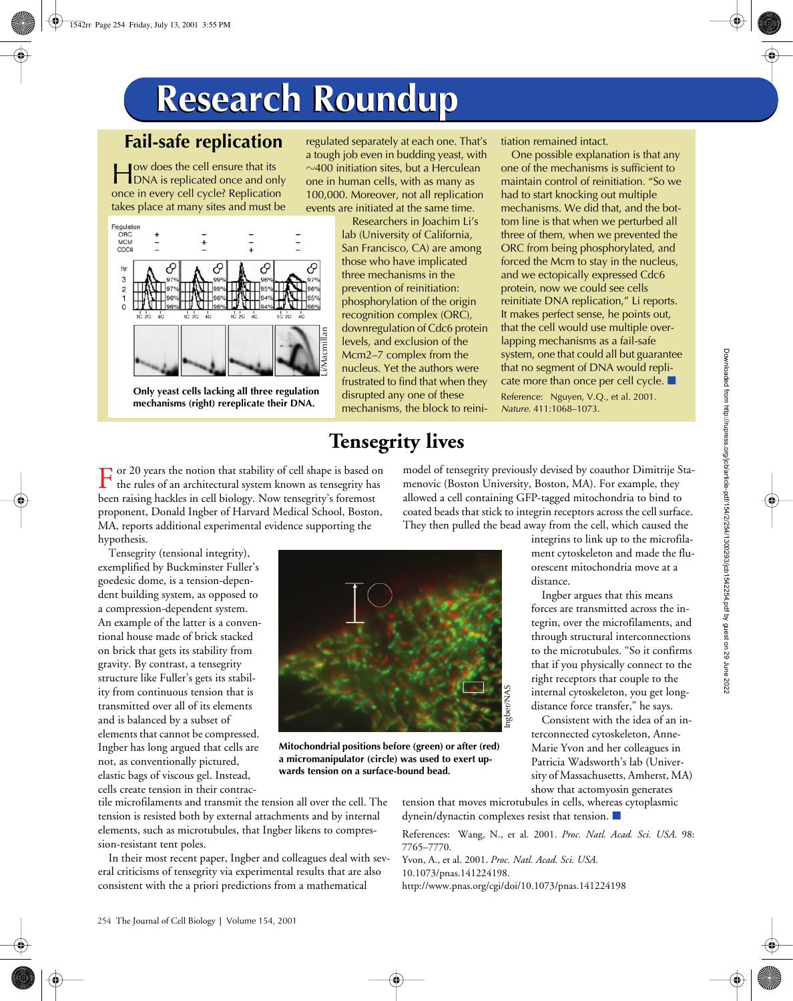## **Research Roundup Research Roundup**

## **Fail-safe replication**

ow does the cell ensure that its **DEPENDIA IS ALLEADER IS CONTROLLED FOR A SET ALLEADER IS A SET ALL**<br> **EXECUTE:** The set of the set of the set of the set of the set of the set of the set of the set of the set of the set of the set of the set of the set o once in every cell cycle? Replication takes place at many sites and must be



**Only yeast cells lacking all three regulation mechanisms (right) rereplicate their DNA.**

regulated separately at each one. That's a tough job even in budding yeast, with  $\sim$ 400 initiation sites, but a Herculean one in human cells, with as many as 100,000. Moreover, not all replication events are initiated at the same time.

> Researchers in Joachim Li's lab (University of California, San Francisco, CA) are among those who have implicated three mechanisms in the prevention of reinitiation: phosphorylation of the origin recognition complex (ORC), downregulation of Cdc6 protein levels, and exclusion of the Mcm2–7 complex from the nucleus. Yet the authors were frustrated to find that when they disrupted any one of these mechanisms, the block to reini-

## **Tensegrity lives**

tiation remained intact.

One possible explanation is that any one of the mechanisms is sufficient to maintain control of reinitiation. "So we had to start knocking out multiple mechanisms. We did that, and the bottom line is that when we perturbed all three of them, when we prevented the ORC from being phosphorylated, and forced the Mcm to stay in the nucleus, and we ectopically expressed Cdc6 protein, now we could see cells reinitiate DNA replication," Li reports. It makes perfect sense, he points out, that the cell would use multiple overlapping mechanisms as a fail-safe system, one that could all but guarantee that no segment of DNA would replicate more than once per cell cycle.  $\blacksquare$ 

Reference: Nguyen, V.Q., et al. 2001. *Nature*. 411:1068–1073.

model of tensegrity previously devised by coauthor Dimitrije Stamenovic (Boston University, Boston, MA). For example, they allowed a cell containing GFP-tagged mitochondria to bind to

or 20 years the notion that stability of cell shape is based on  $\Gamma$  or 20 years the notion that stability of cell shape is based on the rules of an architectural system known as tensegrity has been raising hackles in cell biology. Now tensegrity's foremost proponent, Donald Ingber of Harvard Medical School, Boston, MA, reports additional experimental evidence supporting the hypothesis.

Tensegrity (tensional integrity), exemplified by Buckminster Fuller's goedesic dome, is a tension-dependent building system, as opposed to a compression-dependent system. An example of the latter is a conventional house made of brick stacked on brick that gets its stability from gravity. By contrast, a tensegrity structure like Fuller's gets its stability from continuous tension that is transmitted over all of its elements and is balanced by a subset of elements that cannot be compressed. Ingber has long argued that cells are not, as conventionally pictured, elastic bags of viscous gel. Instead, cells create tension in their contrac-



**Mitochondrial positions before (green) or after (red) a micromanipulator (circle) was used to exert upwards tension on a surface-bound bead.**

coated beads that stick to integrin receptors across the cell surface. They then pulled the bead away from the cell, which caused the integrins to link up to the microfilament cytoskeleton and made the fluorescent mitochondria move at a distance.

> Ingber argues that this means forces are transmitted across the integrin, over the microfilaments, and through structural interconnections to the microtubules. "So it confirms that if you physically connect to the right receptors that couple to the internal cytoskeleton, you get longdistance force transfer," he says.

> Consistent with the idea of an interconnected cytoskeleton, Anne-Marie Yvon and her colleagues in Patricia Wadsworth's lab (University of Massachusetts, Amherst, MA) show that actomyosin generates

tile microfilaments and transmit the tension all over the cell. The tension is resisted both by external attachments and by internal elements, such as microtubules, that Ingber likens to compression-resistant tent poles.

In their most recent paper, Ingber and colleagues deal with several criticisms of tensegrity via experimental results that are also consistent with the a priori predictions from a mathematical

tension that moves microtubules in cells, whereas cytoplasmic  $d$ ynein/ $d$ ynactin complexes resist that tension.  $\blacksquare$ 

References: Wang, N., et al. 2001. *Proc. Natl. Acad. Sci. USA*. 98: 7765–7770.

Yvon, A., et al. 2001. *Proc. Natl. Acad. Sci. USA.*  10.1073/pnas.141224198. http://www.pnas.org/cgi/doi/10.1073/pnas.141224198